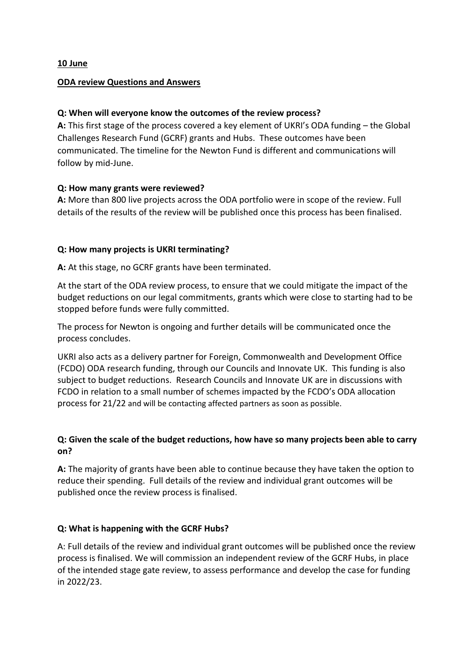**10 June** 

#### **ODA review Questions and Answers**

#### **Q: When will everyone know the outcomes of the review process?**

**A:** This first stage of the process covered a key element of UKRI's ODA funding – the Global Challenges Research Fund (GCRF) grants and Hubs. These outcomes have been communicated. The timeline for the Newton Fund is different and communications will follow by mid-June.

#### **Q: How many grants were reviewed?**

**A:** More than 800 live projects across the ODA portfolio were in scope of the review. Full details of the results of the review will be published once this process has been finalised.

#### **Q: How many projects is UKRI terminating?**

**A:** At this stage, no GCRF grants have been terminated.

At the start of the ODA review process, to ensure that we could mitigate the impact of the budget reductions on our legal commitments, grants which were close to starting had to be stopped before funds were fully committed.

The process for Newton is ongoing and further details will be communicated once the process concludes.

UKRI also acts as a delivery partner for Foreign, Commonwealth and Development Office (FCDO) ODA research funding, through our Councils and Innovate UK. This funding is also subject to budget reductions. Research Councils and Innovate UK are in discussions with FCDO in relation to a small number of schemes impacted by the FCDO's ODA allocation process for 21/22 and will be contacting affected partners as soon as possible.

## **Q: Given the scale of the budget reductions, how have so many projects been able to carry on?**

**A:** The majority of grants have been able to continue because they have taken the option to reduce their spending.Full details of the review and individual grant outcomes will be published once the review process is finalised.

## **Q: What is happening with the GCRF Hubs?**

A: Full details of the review and individual grant outcomes will be published once the review process is finalised. We will commission an independent review of the GCRF Hubs, in place of the intended stage gate review, to assess performance and develop the case for funding in 2022/23.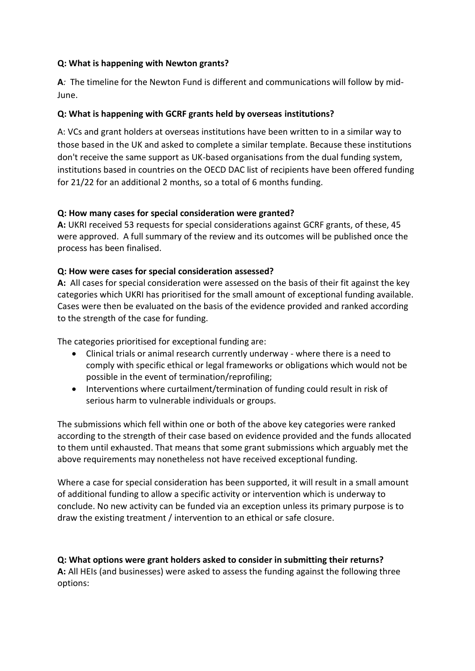## **Q: What is happening with Newton grants?**

**A***:* The timeline for the Newton Fund is different and communications will follow by mid-June.

### **Q: What is happening with GCRF grants held by overseas institutions?**

A: VCs and grant holders at overseas institutions have been written to in a similar way to those based in the UK and asked to complete a similar template. Because these institutions don't receive the same support as UK-based organisations from the dual funding system, institutions based in countries on the OECD DAC list of recipients have been offered funding for 21/22 for an additional 2 months, so a total of 6 months funding.

#### **Q: How many cases for special consideration were granted?**

**A:** UKRI received 53 requests for special considerations against GCRF grants, of these, 45 were approved.A full summary of the review and its outcomes will be published once the process has been finalised.

#### **Q: How were cases for special consideration assessed?**

**A:** All cases for special consideration were assessed on the basis of their fit against the key categories which UKRI has prioritised for the small amount of exceptional funding available. Cases were then be evaluated on the basis of the evidence provided and ranked according to the strength of the case for funding.

The categories prioritised for exceptional funding are:

- Clinical trials or animal research currently underway where there is a need to comply with specific ethical or legal frameworks or obligations which would not be possible in the event of termination/reprofiling;
- Interventions where curtailment/termination of funding could result in risk of serious harm to vulnerable individuals or groups.

The submissions which fell within one or both of the above key categories were ranked according to the strength of their case based on evidence provided and the funds allocated to them until exhausted. That means that some grant submissions which arguably met the above requirements may nonetheless not have received exceptional funding.

Where a case for special consideration has been supported, it will result in a small amount of additional funding to allow a specific activity or intervention which is underway to conclude. No new activity can be funded via an exception unless its primary purpose is to draw the existing treatment / intervention to an ethical or safe closure.

**Q: What options were grant holders asked to consider in submitting their returns? A:** All HEIs (and businesses) were asked to assess the funding against the following three options: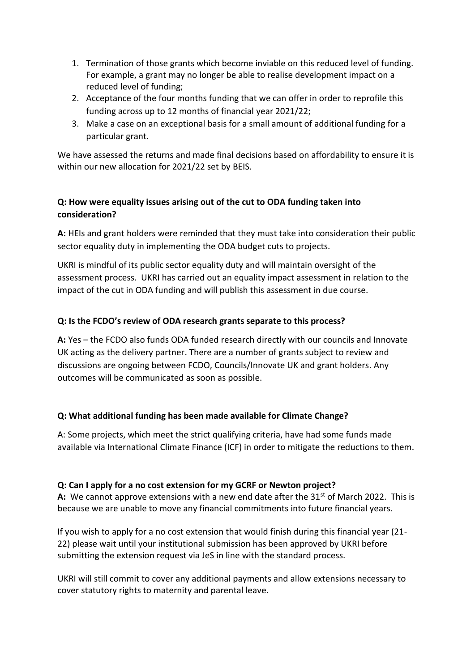- 1. Termination of those grants which become inviable on this reduced level of funding. For example, a grant may no longer be able to realise development impact on a reduced level of funding;
- 2. Acceptance of the four months funding that we can offer in order to reprofile this funding across up to 12 months of financial year 2021/22;
- 3. Make a case on an exceptional basis for a small amount of additional funding for a particular grant.

We have assessed the returns and made final decisions based on affordability to ensure it is within our new allocation for 2021/22 set by BEIS.

# **Q: How were equality issues arising out of the cut to ODA funding taken into consideration?**

**A:** HEIs and grant holders were reminded that they must take into consideration their public sector equality duty in implementing the ODA budget cuts to projects.

UKRI is mindful of its public sector equality duty and will maintain oversight of the assessment process. UKRI has carried out an equality impact assessment in relation to the impact of the cut in ODA funding and will publish this assessment in due course.

# **Q: Is the FCDO's review of ODA research grants separate to this process?**

**A:** Yes – the FCDO also funds ODA funded research directly with our councils and Innovate UK acting as the delivery partner. There are a number of grants subject to review and discussions are ongoing between FCDO, Councils/Innovate UK and grant holders. Any outcomes will be communicated as soon as possible.

## **Q: What additional funding has been made available for Climate Change?**

A: Some projects, which meet the strict qualifying criteria, have had some funds made available via International Climate Finance (ICF) in order to mitigate the reductions to them.

## **Q: Can I apply for a no cost extension for my GCRF or Newton project?**

A: We cannot approve extensions with a new end date after the 31<sup>st</sup> of March 2022. This is because we are unable to move any financial commitments into future financial years.

If you wish to apply for a no cost extension that would finish during this financial year (21- 22) please wait until your institutional submission has been approved by UKRI before submitting the extension request via JeS in line with the standard process.

UKRI will still commit to cover any additional payments and allow extensions necessary to cover statutory rights to maternity and parental leave.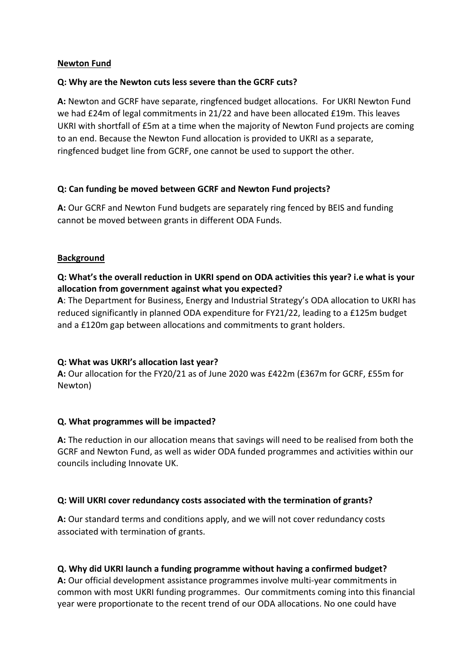### **Newton Fund**

## **Q: Why are the Newton cuts less severe than the GCRF cuts?**

**A:** Newton and GCRF have separate, ringfenced budget allocations. For UKRI Newton Fund we had £24m of legal commitments in 21/22 and have been allocated £19m. This leaves UKRI with shortfall of £5m at a time when the majority of Newton Fund projects are coming to an end. Because the Newton Fund allocation is provided to UKRI as a separate, ringfenced budget line from GCRF, one cannot be used to support the other*.*

## **Q: Can funding be moved between GCRF and Newton Fund projects?**

**A:** Our GCRF and Newton Fund budgets are separately ring fenced by BEIS and funding cannot be moved between grants in different ODA Funds.

#### **Background**

## **Q: What's the overall reduction in UKRI spend on ODA activities this year? i.e what is your allocation from government against what you expected?**

**A**: The Department for Business, Energy and Industrial Strategy's ODA allocation to UKRI has reduced significantly in planned ODA expenditure for FY21/22, leading to a £125m budget and a £120m gap between allocations and commitments to grant holders.

## **Q: What was UKRI's allocation last year?**

**A:** Our allocation for the FY20/21 as of June 2020 was £422m (£367m for GCRF, £55m for Newton)

## **Q. What programmes will be impacted?**

**A:** The reduction in our allocation means that savings will need to be realised from both the GCRF and Newton Fund, as well as wider ODA funded programmes and activities within our councils including Innovate UK.

#### **Q: Will UKRI cover redundancy costs associated with the termination of grants?**

**A:** Our standard terms and conditions apply, and we will not cover redundancy costs associated with termination of grants.

## **Q. Why did UKRI launch a funding programme without having a confirmed budget?**

**A:** Our official development assistance programmes involve multi-year commitments in common with most UKRI funding programmes. Our commitments coming into this financial year were proportionate to the recent trend of our ODA allocations. No one could have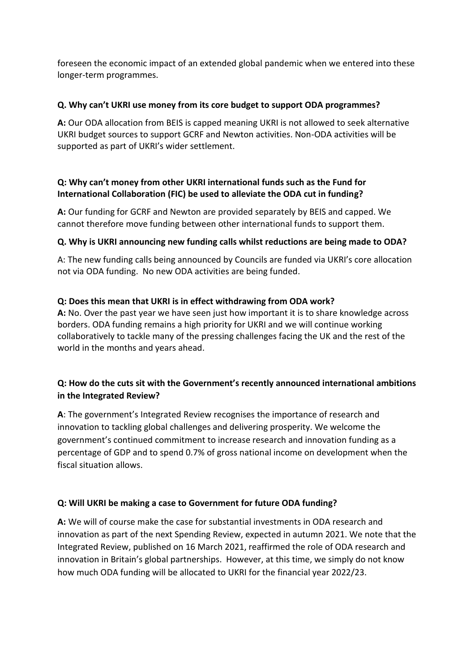foreseen the economic impact of an extended global pandemic when we entered into these longer-term programmes.

## **Q. Why can't UKRI use money from its core budget to support ODA programmes?**

**A:** Our ODA allocation from BEIS is capped meaning UKRI is not allowed to seek alternative UKRI budget sources to support GCRF and Newton activities. Non-ODA activities will be supported as part of UKRI's wider settlement.

## **Q: Why can't money from other UKRI international funds such as the Fund for International Collaboration (FIC) be used to alleviate the ODA cut in funding?**

**A:** Our funding for GCRF and Newton are provided separately by BEIS and capped. We cannot therefore move funding between other international funds to support them.

## **Q. Why is UKRI announcing new funding calls whilst reductions are being made to ODA?**

A: The new funding calls being announced by Councils are funded via UKRI's core allocation not via ODA funding. No new ODA activities are being funded.

## **Q: Does this mean that UKRI is in effect withdrawing from ODA work?**

**A:** No. Over the past year we have seen just how important it is to share knowledge across borders. ODA funding remains a high priority for UKRI and we will continue working collaboratively to tackle many of the pressing challenges facing the UK and the rest of the world in the months and years ahead.

# **Q: How do the cuts sit with the Government's recently announced international ambitions in the Integrated Review?**

**A**: The government's Integrated Review recognises the importance of research and innovation to tackling global challenges and delivering prosperity. We welcome the government's continued commitment to increase research and innovation funding as a percentage of GDP and to spend 0.7% of gross national income on development when the fiscal situation allows.

## **Q: Will UKRI be making a case to Government for future ODA funding?**

**A:** We will of course make the case for substantial investments in ODA research and innovation as part of the next Spending Review, expected in autumn 2021. We note that the Integrated Review, published on 16 March 2021, reaffirmed the role of ODA research and innovation in Britain's global partnerships. However, at this time, we simply do not know how much ODA funding will be allocated to UKRI for the financial year 2022/23.